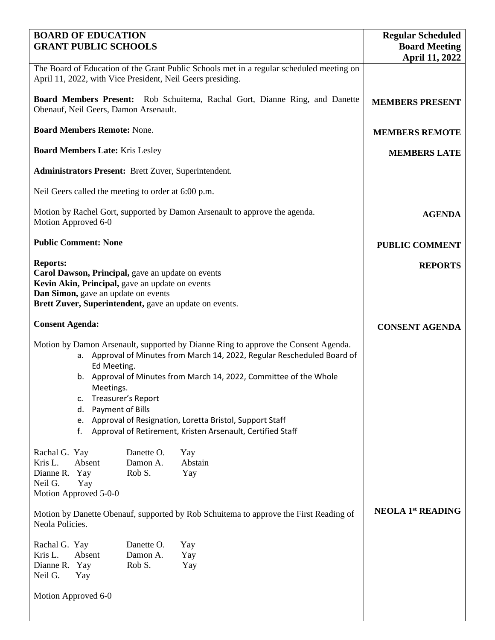| <b>BOARD OF EDUCATION</b><br><b>GRANT PUBLIC SCHOOLS</b>                                                                                                       | <b>Regular Scheduled</b><br><b>Board Meeting</b>                                                                                                               |                       |
|----------------------------------------------------------------------------------------------------------------------------------------------------------------|----------------------------------------------------------------------------------------------------------------------------------------------------------------|-----------------------|
|                                                                                                                                                                |                                                                                                                                                                | <b>April 11, 2022</b> |
| The Board of Education of the Grant Public Schools met in a regular scheduled meeting on<br>April 11, 2022, with Vice President, Neil Geers presiding.         |                                                                                                                                                                |                       |
| <b>Board Members Present:</b> Rob Schuitema, Rachal Gort, Dianne Ring, and Danette<br>Obenauf, Neil Geers, Damon Arsenault.                                    | <b>MEMBERS PRESENT</b>                                                                                                                                         |                       |
| <b>Board Members Remote: None.</b>                                                                                                                             | <b>MEMBERS REMOTE</b>                                                                                                                                          |                       |
| <b>Board Members Late: Kris Lesley</b>                                                                                                                         | <b>MEMBERS LATE</b>                                                                                                                                            |                       |
| <b>Administrators Present:</b> Brett Zuver, Superintendent.                                                                                                    |                                                                                                                                                                |                       |
| Neil Geers called the meeting to order at 6:00 p.m.                                                                                                            |                                                                                                                                                                |                       |
| Motion by Rachel Gort, supported by Damon Arsenault to approve the agenda.<br>Motion Approved 6-0                                                              | <b>AGENDA</b>                                                                                                                                                  |                       |
| <b>Public Comment: None</b>                                                                                                                                    | <b>PUBLIC COMMENT</b>                                                                                                                                          |                       |
| <b>Reports:</b><br>Carol Dawson, Principal, gave an update on events<br>Kevin Akin, Principal, gave an update on events<br>Dan Simon, gave an update on events | <b>REPORTS</b>                                                                                                                                                 |                       |
| Brett Zuver, Superintendent, gave an update on events.                                                                                                         |                                                                                                                                                                |                       |
| <b>Consent Agenda:</b>                                                                                                                                         | <b>CONSENT AGENDA</b>                                                                                                                                          |                       |
| Ed Meeting.                                                                                                                                                    | Motion by Damon Arsenault, supported by Dianne Ring to approve the Consent Agenda.<br>a. Approval of Minutes from March 14, 2022, Regular Rescheduled Board of |                       |
| b. Approval of Minutes from March 14, 2022, Committee of the Whole<br>Meetings.                                                                                |                                                                                                                                                                |                       |
| Treasurer's Report<br>c.<br>Payment of Bills<br>d.                                                                                                             |                                                                                                                                                                |                       |
| Approval of Resignation, Loretta Bristol, Support Staff<br>e.<br>Approval of Retirement, Kristen Arsenault, Certified Staff<br>f.                              |                                                                                                                                                                |                       |
| Rachal G. Yay<br>Danette O.<br>Kris L.<br>Absent<br>Damon A.<br>Rob S.<br>Dianne R.<br>Yay<br>Neil G.<br>Yay<br>Motion Approved 5-0-0                          | Yay<br>Abstain<br>Yay                                                                                                                                          |                       |
| Motion by Danette Obenauf, supported by Rob Schuitema to approve the First Reading of<br>Neola Policies.                                                       | <b>NEOLA 1st READING</b>                                                                                                                                       |                       |
| Rachal G. Yay<br>Danette O.<br>Kris L.<br>Absent<br>Damon A.<br>Dianne R. Yay<br>Rob S.<br>Neil G.<br>Yay                                                      | Yay<br>Yay<br>Yay                                                                                                                                              |                       |
| Motion Approved 6-0                                                                                                                                            |                                                                                                                                                                |                       |